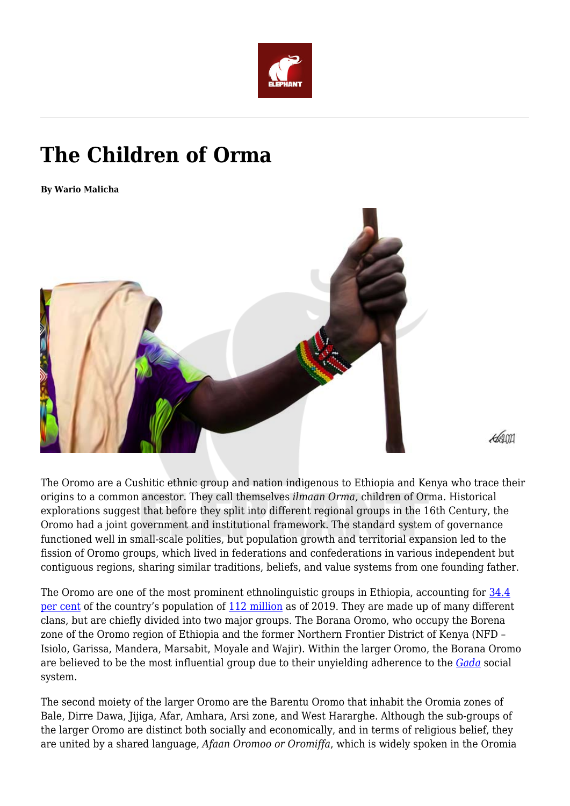

## **The Children of Orma**

**By Wario Malicha**



The Oromo are a Cushitic ethnic group and nation indigenous to Ethiopia and Kenya who trace their origins to a common ancestor. They call themselves *ilmaan Orma,* children of Orma. Historical explorations suggest that before they split into different regional groups in the 16th Century, the Oromo had a joint government and institutional framework. The standard system of governance functioned well in small-scale polities, but population growth and territorial expansion led to the fission of Oromo groups, which lived in federations and confederations in various independent but contiguous regions, sharing similar traditions, beliefs, and value systems from one founding father.

The Oromo are one of the most prominent ethnolinguistic groups in Ethiopia, accounting for [34.4](https://worldpopulationreview.com/countries/ethiopia-population) [per cent](https://worldpopulationreview.com/countries/ethiopia-population) of the country's population of [112 million](https://data.worldbank.org/country/ethiopia?view=chart) as of 2019. They are made up of many different clans, but are chiefly divided into two major groups. The Borana Oromo, who occupy the Borena zone of the Oromo region of Ethiopia and the former Northern Frontier District of Kenya (NFD – Isiolo, Garissa, Mandera, Marsabit, Moyale and Wajir). Within the larger Oromo, the Borana Oromo are believed to be the most influential group due to their unyielding adherence to the *[Gada](https://ich.unesco.org/en/RL/gada-system-an-indigenous-democratic-socio-political-system-of-the-oromo-01164)* social system.

The second moiety of the larger Oromo are the Barentu Oromo that inhabit the Oromia zones of Bale, Dirre Dawa, Jijiga, Afar, Amhara, Arsi zone, and West Hararghe. Although the sub-groups of the larger Oromo are distinct both socially and economically, and in terms of religious belief, they are united by a shared language, *Afaan Oromoo or Oromiffa*, which is widely spoken in the Oromia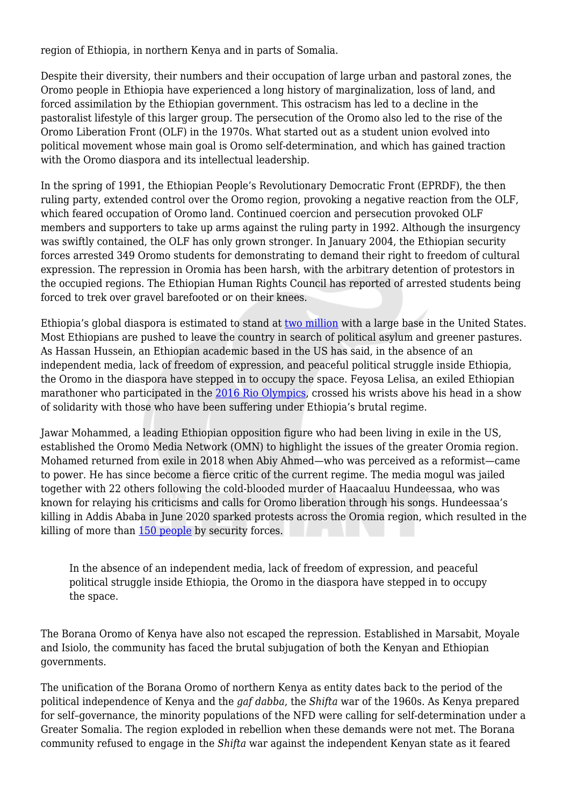region of Ethiopia, in northern Kenya and in parts of Somalia.

Despite their diversity, their numbers and their occupation of large urban and pastoral zones, the Oromo people in Ethiopia have experienced a long history of marginalization, loss of land, and forced assimilation by the Ethiopian government. This ostracism has led to a decline in the pastoralist lifestyle of this larger group. The persecution of the Oromo also led to the rise of the Oromo Liberation Front (OLF) in the 1970s. What started out as a student union evolved into political movement whose main goal is Oromo self-determination, and which has gained traction with the Oromo diaspora and its intellectual leadership.

In the spring of 1991, the Ethiopian People's Revolutionary Democratic Front (EPRDF), the then ruling party, extended control over the Oromo region, provoking a negative reaction from the OLF, which feared occupation of Oromo land. Continued coercion and persecution provoked OLF members and supporters to take up arms against the ruling party in 1992. Although the insurgency was swiftly contained, the OLF has only grown stronger. In January 2004, the Ethiopian security forces arrested 349 Oromo students for demonstrating to demand their right to freedom of cultural expression. The repression in Oromia has been harsh, with the arbitrary detention of protestors in the occupied regions. The Ethiopian Human Rights Council has reported of arrested students being forced to trek over gravel barefooted or on their knees.

Ethiopia's global diaspora is estimated to stand at [two million](https://www.bbc.com/news/world-africa-38076389) with a large base in the United States. Most Ethiopians are pushed to leave the country in search of political asylum and greener pastures. As Hassan Hussein, an Ethiopian academic based in the US has said, in the absence of an independent media, lack of freedom of expression, and peaceful political struggle inside Ethiopia, the Oromo in the diaspora have stepped in to occupy the space. Feyosa Lelisa, an exiled Ethiopian marathoner who participated in the [2016 Rio Olympics,](https://www.aljazeera.com/opinions/2017/5/19/why-i-run) crossed his wrists above his head in a show of solidarity with those who have been suffering under Ethiopia's brutal regime.

Jawar Mohammed, a leading Ethiopian opposition figure who had been living in exile in the US, established the Oromo Media Network (OMN) to highlight the issues of the greater Oromia region. Mohamed returned from exile in 2018 when Abiy Ahmed—who was perceived as a reformist—came to power. He has since become a fierce critic of the current regime. The media mogul was jailed together with 22 others following the cold-blooded murder of Haacaaluu Hundeessaa, who was known for relaying his criticisms and calls for Oromo liberation through his songs. Hundeessaa's killing in Addis Ababa in June 2020 sparked protests across the Oromia region, which resulted in the killing of more than [150 people](https://www.bbc.com/news/world-africa-54236276) by security forces.

In the absence of an independent media, lack of freedom of expression, and peaceful political struggle inside Ethiopia, the Oromo in the diaspora have stepped in to occupy the space.

The Borana Oromo of Kenya have also not escaped the repression. Established in Marsabit, Moyale and Isiolo, the community has faced the brutal subjugation of both the Kenyan and Ethiopian governments.

The unification of the Borana Oromo of northern Kenya as entity dates back to the period of the political independence of Kenya and the *gaf dabba*, the *Shifta* war of the 1960s. As Kenya prepared for self–governance, the minority populations of the NFD were calling for self-determination under a Greater Somalia. The region exploded in rebellion when these demands were not met. The Borana community refused to engage in the *Shifta* war against the independent Kenyan state as it feared